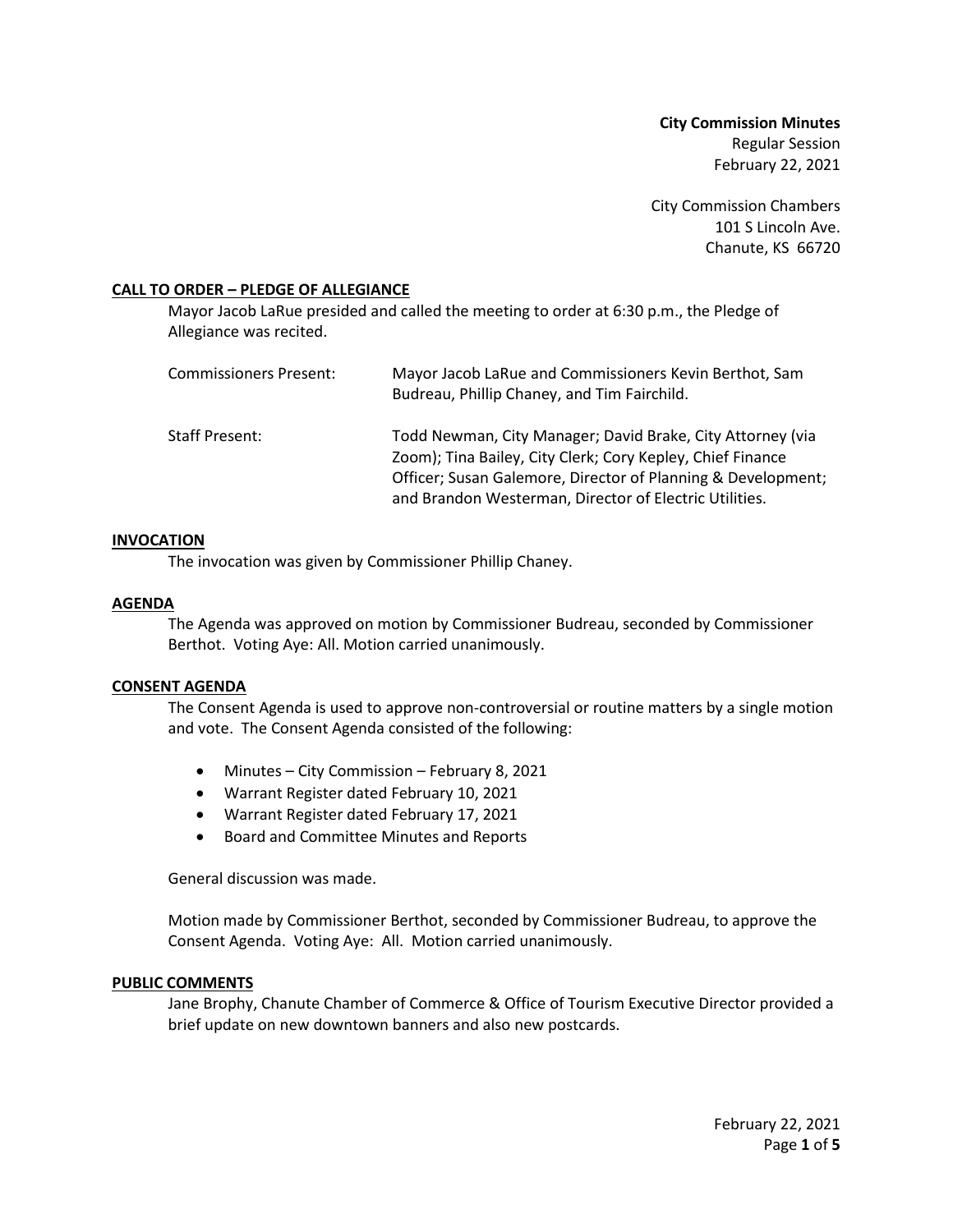**City Commission Minutes** Regular Session February 22, 2021

City Commission Chambers 101 S Lincoln Ave. Chanute, KS 66720

## **CALL TO ORDER – PLEDGE OF ALLEGIANCE**

Mayor Jacob LaRue presided and called the meeting to order at 6:30 p.m., the Pledge of Allegiance was recited.

| <b>Commissioners Present:</b> | Mayor Jacob LaRue and Commissioners Kevin Berthot, Sam<br>Budreau, Phillip Chaney, and Tim Fairchild.                                                                                                                                              |
|-------------------------------|----------------------------------------------------------------------------------------------------------------------------------------------------------------------------------------------------------------------------------------------------|
| Staff Present:                | Todd Newman, City Manager; David Brake, City Attorney (via<br>Zoom); Tina Bailey, City Clerk; Cory Kepley, Chief Finance<br>Officer; Susan Galemore, Director of Planning & Development;<br>and Brandon Westerman, Director of Electric Utilities. |

#### **INVOCATION**

The invocation was given by Commissioner Phillip Chaney.

#### **AGENDA**

The Agenda was approved on motion by Commissioner Budreau, seconded by Commissioner Berthot. Voting Aye: All. Motion carried unanimously.

#### **CONSENT AGENDA**

The Consent Agenda is used to approve non-controversial or routine matters by a single motion and vote. The Consent Agenda consisted of the following:

- Minutes City Commission February 8, 2021
- Warrant Register dated February 10, 2021
- Warrant Register dated February 17, 2021
- Board and Committee Minutes and Reports

General discussion was made.

Motion made by Commissioner Berthot, seconded by Commissioner Budreau, to approve the Consent Agenda. Voting Aye: All. Motion carried unanimously.

#### **PUBLIC COMMENTS**

Jane Brophy, Chanute Chamber of Commerce & Office of Tourism Executive Director provided a brief update on new downtown banners and also new postcards.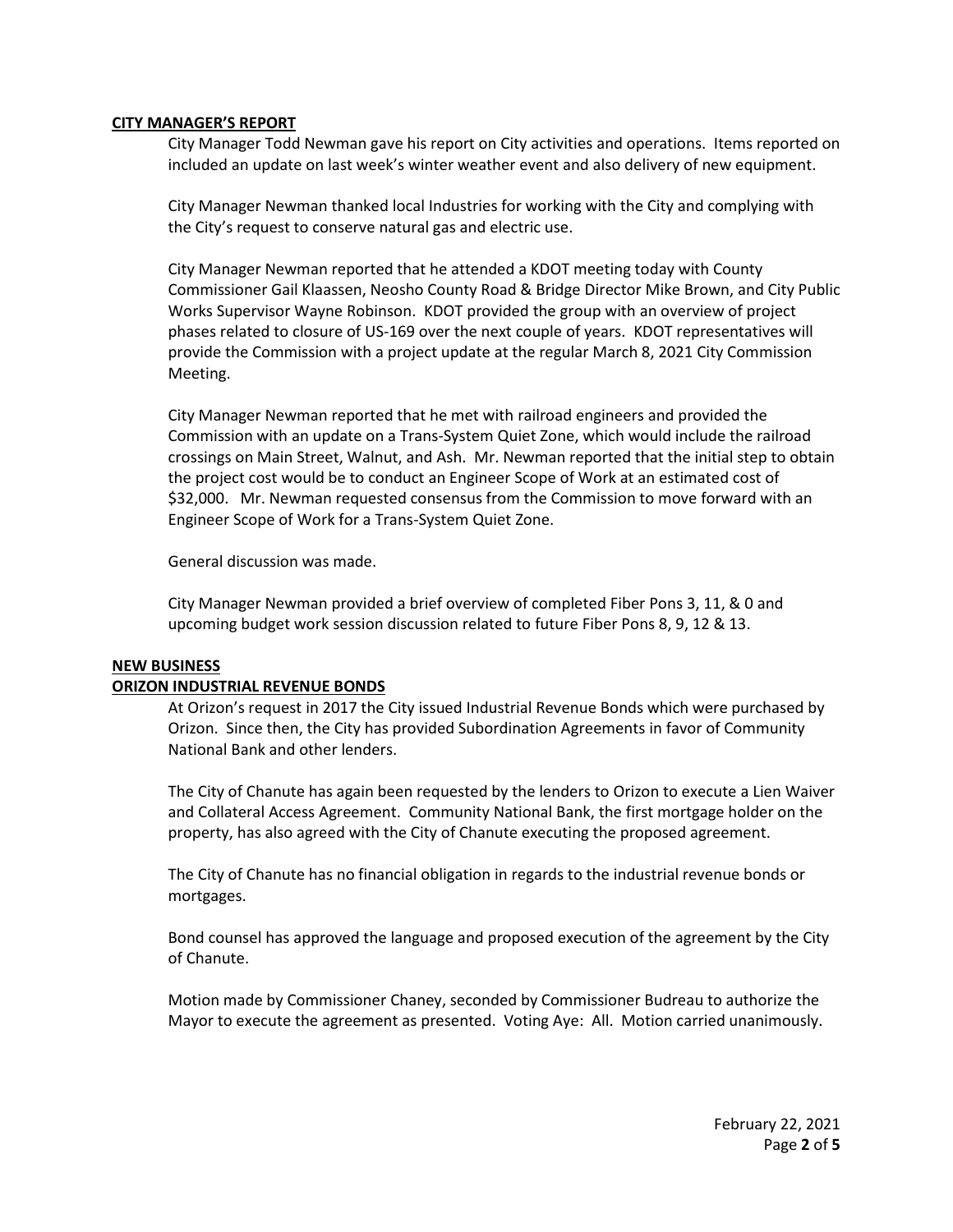#### **CITY MANAGER'S REPORT**

City Manager Todd Newman gave his report on City activities and operations. Items reported on included an update on last week's winter weather event and also delivery of new equipment.

City Manager Newman thanked local Industries for working with the City and complying with the City's request to conserve natural gas and electric use.

City Manager Newman reported that he attended a KDOT meeting today with County Commissioner Gail Klaassen, Neosho County Road & Bridge Director Mike Brown, and City Public Works Supervisor Wayne Robinson. KDOT provided the group with an overview of project phases related to closure of US-169 over the next couple of years. KDOT representatives will provide the Commission with a project update at the regular March 8, 2021 City Commission Meeting.

City Manager Newman reported that he met with railroad engineers and provided the Commission with an update on a Trans-System Quiet Zone, which would include the railroad crossings on Main Street, Walnut, and Ash. Mr. Newman reported that the initial step to obtain the project cost would be to conduct an Engineer Scope of Work at an estimated cost of \$32,000. Mr. Newman requested consensus from the Commission to move forward with an Engineer Scope of Work for a Trans-System Quiet Zone.

General discussion was made.

City Manager Newman provided a brief overview of completed Fiber Pons 3, 11, & 0 and upcoming budget work session discussion related to future Fiber Pons 8, 9, 12 & 13.

#### **NEW BUSINESS**

#### **ORIZON INDUSTRIAL REVENUE BONDS**

At Orizon's request in 2017 the City issued Industrial Revenue Bonds which were purchased by Orizon. Since then, the City has provided Subordination Agreements in favor of Community National Bank and other lenders.

The City of Chanute has again been requested by the lenders to Orizon to execute a Lien Waiver and Collateral Access Agreement. Community National Bank, the first mortgage holder on the property, has also agreed with the City of Chanute executing the proposed agreement.

The City of Chanute has no financial obligation in regards to the industrial revenue bonds or mortgages.

Bond counsel has approved the language and proposed execution of the agreement by the City of Chanute.

Motion made by Commissioner Chaney, seconded by Commissioner Budreau to authorize the Mayor to execute the agreement as presented. Voting Aye: All. Motion carried unanimously.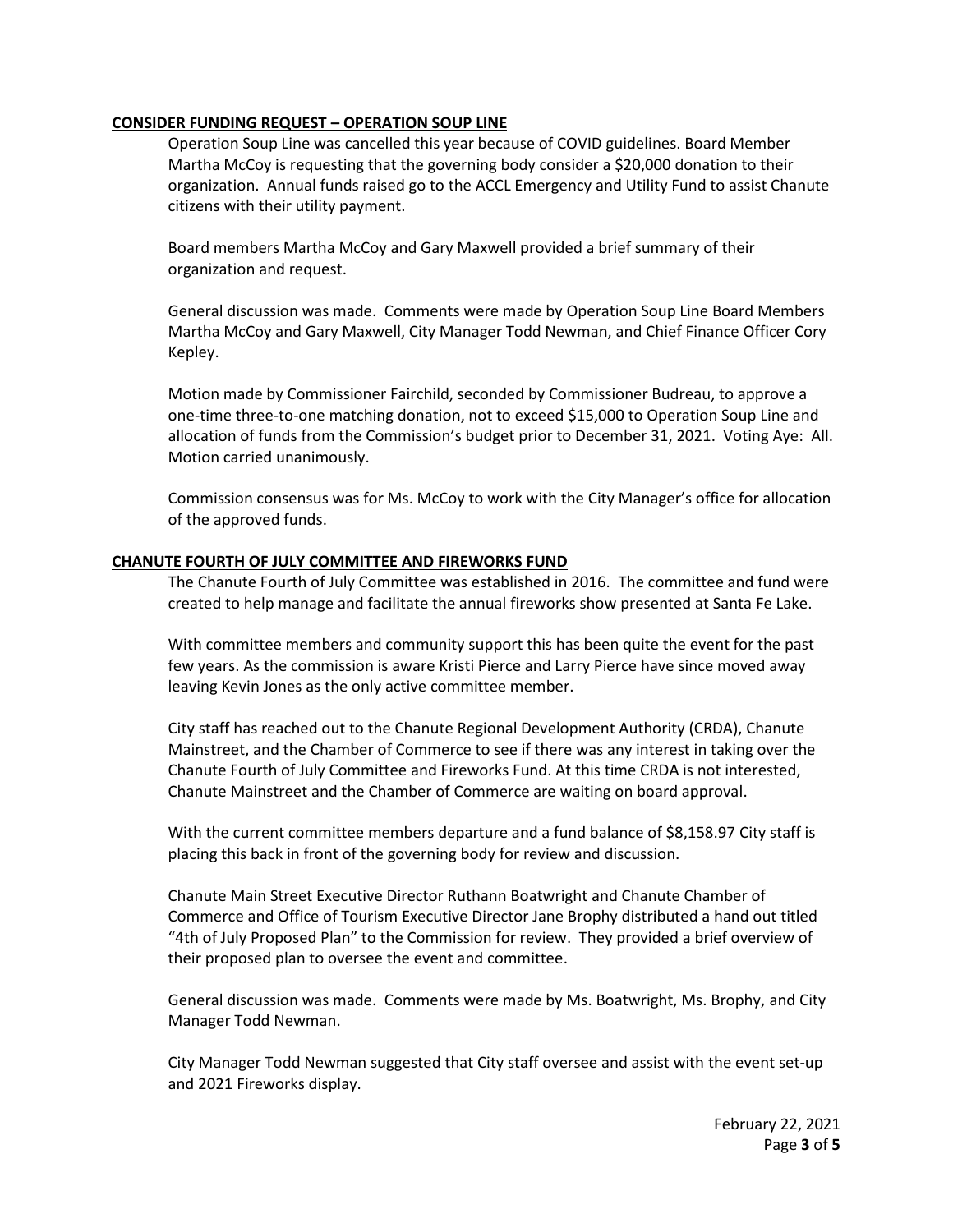# **CONSIDER FUNDING REQUEST – OPERATION SOUP LINE**

Operation Soup Line was cancelled this year because of COVID guidelines. Board Member Martha McCoy is requesting that the governing body consider a \$20,000 donation to their organization. Annual funds raised go to the ACCL Emergency and Utility Fund to assist Chanute citizens with their utility payment.

Board members Martha McCoy and Gary Maxwell provided a brief summary of their organization and request.

General discussion was made. Comments were made by Operation Soup Line Board Members Martha McCoy and Gary Maxwell, City Manager Todd Newman, and Chief Finance Officer Cory Kepley.

Motion made by Commissioner Fairchild, seconded by Commissioner Budreau, to approve a one-time three-to-one matching donation, not to exceed \$15,000 to Operation Soup Line and allocation of funds from the Commission's budget prior to December 31, 2021. Voting Aye: All. Motion carried unanimously.

Commission consensus was for Ms. McCoy to work with the City Manager's office for allocation of the approved funds.

## **CHANUTE FOURTH OF JULY COMMITTEE AND FIREWORKS FUND**

The Chanute Fourth of July Committee was established in 2016. The committee and fund were created to help manage and facilitate the annual fireworks show presented at Santa Fe Lake.

With committee members and community support this has been quite the event for the past few years. As the commission is aware Kristi Pierce and Larry Pierce have since moved away leaving Kevin Jones as the only active committee member.

City staff has reached out to the Chanute Regional Development Authority (CRDA), Chanute Mainstreet, and the Chamber of Commerce to see if there was any interest in taking over the Chanute Fourth of July Committee and Fireworks Fund. At this time CRDA is not interested, Chanute Mainstreet and the Chamber of Commerce are waiting on board approval.

With the current committee members departure and a fund balance of \$8,158.97 City staff is placing this back in front of the governing body for review and discussion.

Chanute Main Street Executive Director Ruthann Boatwright and Chanute Chamber of Commerce and Office of Tourism Executive Director Jane Brophy distributed a hand out titled "4th of July Proposed Plan" to the Commission for review. They provided a brief overview of their proposed plan to oversee the event and committee.

General discussion was made. Comments were made by Ms. Boatwright, Ms. Brophy, and City Manager Todd Newman.

City Manager Todd Newman suggested that City staff oversee and assist with the event set-up and 2021 Fireworks display.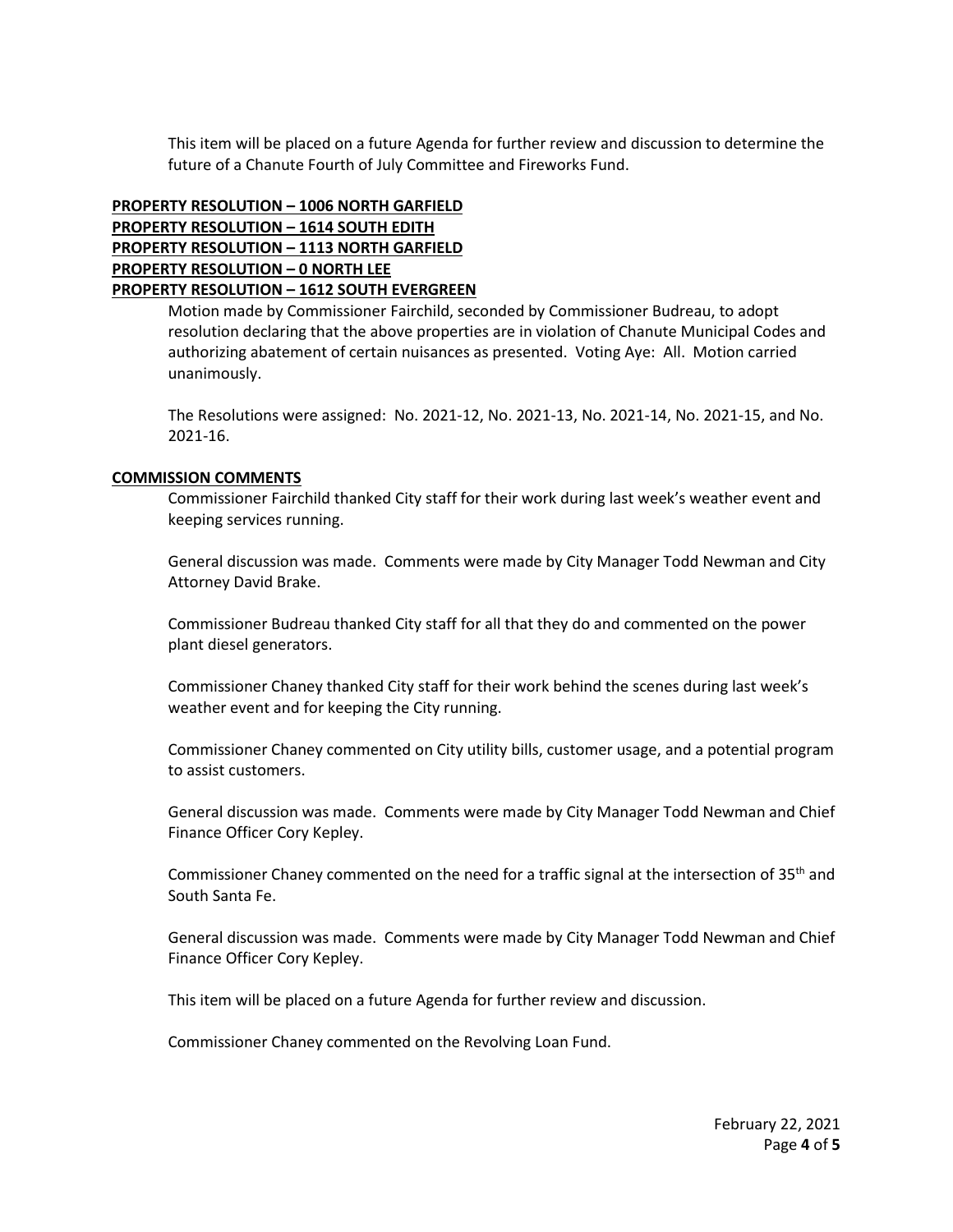This item will be placed on a future Agenda for further review and discussion to determine the future of a Chanute Fourth of July Committee and Fireworks Fund.

# **PROPERTY RESOLUTION – 1006 NORTH GARFIELD PROPERTY RESOLUTION – 1614 SOUTH EDITH PROPERTY RESOLUTION – 1113 NORTH GARFIELD PROPERTY RESOLUTION – 0 NORTH LEE PROPERTY RESOLUTION – 1612 SOUTH EVERGREEN**

Motion made by Commissioner Fairchild, seconded by Commissioner Budreau, to adopt resolution declaring that the above properties are in violation of Chanute Municipal Codes and authorizing abatement of certain nuisances as presented. Voting Aye: All. Motion carried unanimously.

The Resolutions were assigned: No. 2021-12, No. 2021-13, No. 2021-14, No. 2021-15, and No. 2021-16.

# **COMMISSION COMMENTS**

Commissioner Fairchild thanked City staff for their work during last week's weather event and keeping services running.

General discussion was made. Comments were made by City Manager Todd Newman and City Attorney David Brake.

Commissioner Budreau thanked City staff for all that they do and commented on the power plant diesel generators.

Commissioner Chaney thanked City staff for their work behind the scenes during last week's weather event and for keeping the City running.

Commissioner Chaney commented on City utility bills, customer usage, and a potential program to assist customers.

General discussion was made. Comments were made by City Manager Todd Newman and Chief Finance Officer Cory Kepley.

Commissioner Chaney commented on the need for a traffic signal at the intersection of 35<sup>th</sup> and South Santa Fe.

General discussion was made. Comments were made by City Manager Todd Newman and Chief Finance Officer Cory Kepley.

This item will be placed on a future Agenda for further review and discussion.

Commissioner Chaney commented on the Revolving Loan Fund.